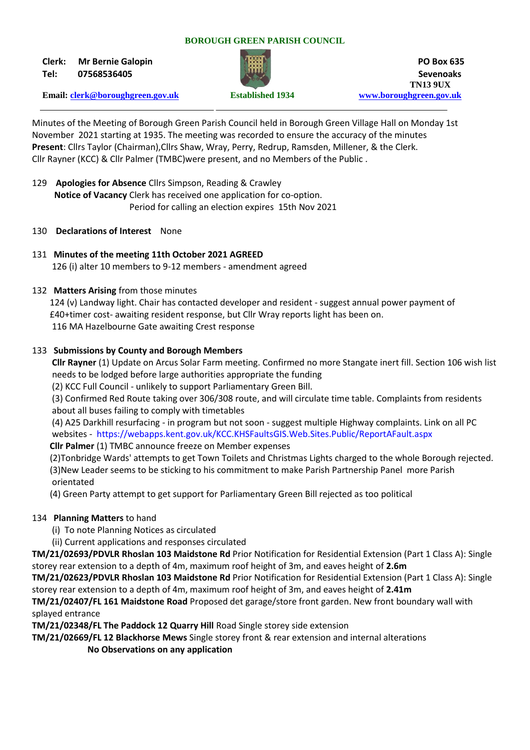#### **BOROUGH GREEN PARISH COUNCIL**

**Clerk: Mr Bernie Galopin PO Box 635**



**Tel: 07568536405 Sevenoaks TN13 9UX Email: [clerk@boroughgreen.gov.uk](mailto:clerk@boroughgreen.gov.uk) Established 1934 [www.boroughgreen.gov.uk](http://www.boroughgreen.gov.uk/)**

Minutes of the Meeting of Borough Green Parish Council held in Borough Green Village Hall on Monday 1st November 2021 starting at 1935. The meeting was recorded to ensure the accuracy of the minutes **Present**: Cllrs Taylor (Chairman),Cllrs Shaw, Wray, Perry, Redrup, Ramsden, Millener, & the Clerk. Cllr Rayner (KCC) & Cllr Palmer (TMBC)were present, and no Members of the Public .

- 129 **Apologies for Absence** Cllrs Simpson, Reading & Crawley  **Notice of Vacancy** Clerk has received one application for co-option. Period for calling an election expires 15th Nov 2021
- 130 **Declarations of Interest** None

# 131 **Minutes of the meeting 11th October 2021 AGREED**

126 (i) alter 10 members to 9-12 members - amendment agreed

# 132 **Matters Arising** from those minutes

 124 (v) Landway light. Chair has contacted developer and resident - suggest annual power payment of £40+timer cost- awaiting resident response, but Cllr Wray reports light has been on. 116 MA Hazelbourne Gate awaiting Crest response

# 133 **Submissions by County and Borough Members**

 **Cllr Rayner** (1) Update on Arcus Solar Farm meeting. Confirmed no more Stangate inert fill. Section 106 wish list needs to be lodged before large authorities appropriate the funding

(2) KCC Full Council - unlikely to support Parliamentary Green Bill.

 (3) Confirmed Red Route taking over 306/308 route, and will circulate time table. Complaints from residents about all buses failing to comply with timetables

 (4) A25 Darkhill resurfacing - in program but not soon - suggest multiple Highway complaints. Link on all PC websites - https://webapps.kent.gov.uk/KCC.KHSFaultsGIS.Web.Sites.Public/ReportAFault.aspx

**Cllr Palmer** (1) TMBC announce freeze on Member expenses

 (2)Tonbridge Wards' attempts to get Town Toilets and Christmas Lights charged to the whole Borough rejected. (3)New Leader seems to be sticking to his commitment to make Parish Partnership Panel more Parish orientated

(4) Green Party attempt to get support for Parliamentary Green Bill rejected as too political

# 134 **Planning Matters** to hand

- (i) To note Planning Notices as circulated
- (ii) Current applications and responses circulated

**TM/21/02693/PDVLR Rhoslan 103 Maidstone Rd** Prior Notification for Residential Extension (Part 1 Class A): Single storey rear extension to a depth of 4m, maximum roof height of 3m, and eaves height of **2.6m**

**TM/21/02623/PDVLR Rhoslan 103 Maidstone Rd** Prior Notification for Residential Extension (Part 1 Class A): Single storey rear extension to a depth of 4m, maximum roof height of 3m, and eaves height of **2.41m**

**TM/21/02407/FL 161 Maidstone Road** Proposed det garage/store front garden. New front boundary wall with splayed entrance

**TM/21/02348/FL The Paddock 12 Quarry Hill** Road Single storey side extension

**TM/21/02669/FL 12 Blackhorse Mews** Single storey front & rear extension and internal alterations

**No Observations on any application**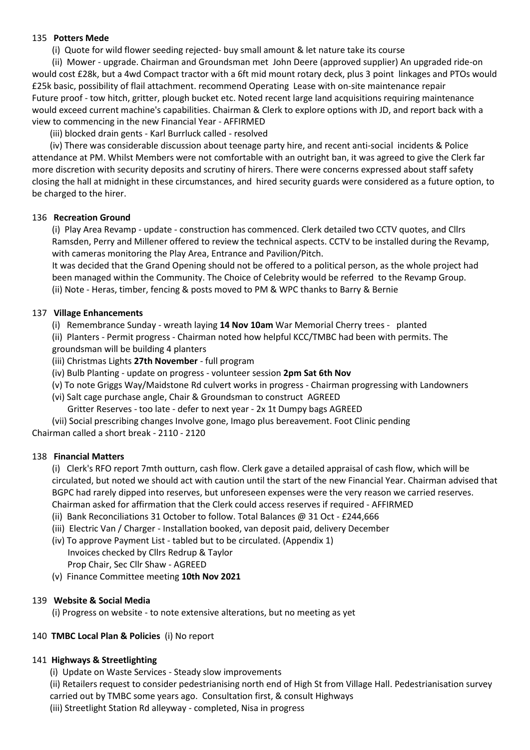## 135 **Potters Mede**

(i) Quote for wild flower seeding rejected- buy small amount & let nature take its course

 (ii) Mower - upgrade. Chairman and Groundsman met John Deere (approved supplier) An upgraded ride-on would cost £28k, but a 4wd Compact tractor with a 6ft mid mount rotary deck, plus 3 point linkages and PTOs would £25k basic, possibility of flail attachment. recommend Operating Lease with on-site maintenance repair Future proof - tow hitch, gritter, plough bucket etc. Noted recent large land acquisitions requiring maintenance would exceed current machine's capabilities. Chairman & Clerk to explore options with JD, and report back with a view to commencing in the new Financial Year - AFFIRMED

(iii) blocked drain gents - Karl Burrluck called - resolved

 (iv) There was considerable discussion about teenage party hire, and recent anti-social incidents & Police attendance at PM. Whilst Members were not comfortable with an outright ban, it was agreed to give the Clerk far more discretion with security deposits and scrutiny of hirers. There were concerns expressed about staff safety closing the hall at midnight in these circumstances, and hired security guards were considered as a future option, to be charged to the hirer.

## 136 **Recreation Ground**

 (i) Play Area Revamp - update - construction has commenced. Clerk detailed two CCTV quotes, and Cllrs Ramsden, Perry and Millener offered to review the technical aspects. CCTV to be installed during the Revamp, with cameras monitoring the Play Area, Entrance and Pavilion/Pitch.

 It was decided that the Grand Opening should not be offered to a political person, as the whole project had been managed within the Community. The Choice of Celebrity would be referred to the Revamp Group. (ii) Note - Heras, timber, fencing & posts moved to PM & WPC thanks to Barry & Bernie

## 137 **Village Enhancements**

(i) Remembrance Sunday - wreath laying **14 Nov 10am** War Memorial Cherry trees - planted

 (ii) Planters - Permit progress - Chairman noted how helpful KCC/TMBC had been with permits. The groundsman will be building 4 planters

- (iii) Christmas Lights **27th November** full program
- (iv) Bulb Planting update on progress volunteer session **2pm Sat 6th Nov**
- (v) To note Griggs Way/Maidstone Rd culvert works in progress Chairman progressing with Landowners
- (vi) Salt cage purchase angle, Chair & Groundsman to construct AGREED Gritter Reserves - too late - defer to next year - 2x 1t Dumpy bags AGREED

 (vii) Social prescribing changes Involve gone, Imago plus bereavement. Foot Clinic pending Chairman called a short break - 2110 - 2120

#### 138 **Financial Matters**

 (i) Clerk's RFO report 7mth outturn, cash flow. Clerk gave a detailed appraisal of cash flow, which will be circulated, but noted we should act with caution until the start of the new Financial Year. Chairman advised that BGPC had rarely dipped into reserves, but unforeseen expenses were the very reason we carried reserves. Chairman asked for affirmation that the Clerk could access reserves if required - AFFIRMED

- (ii) Bank Reconciliations 31 October to follow. Total Balances @ 31 Oct £244,666
- (iii) Electric Van / Charger Installation booked, van deposit paid, delivery December
- (iv) To approve Payment List tabled but to be circulated. (Appendix 1) Invoices checked by Cllrs Redrup & Taylor Prop Chair, Sec Cllr Shaw - AGREED
- (v) Finance Committee meeting **10th Nov 2021**

# 139 **Website & Social Media**

(i) Progress on website - to note extensive alterations, but no meeting as yet

#### 140 **TMBC Local Plan & Policies** (i) No report

#### 141 **Highways & Streetlighting**

(i) Update on Waste Services - Steady slow improvements

 (ii) Retailers request to consider pedestrianising north end of High St from Village Hall. Pedestrianisation survey carried out by TMBC some years ago. Consultation first, & consult Highways

(iii) Streetlight Station Rd alleyway - completed, Nisa in progress